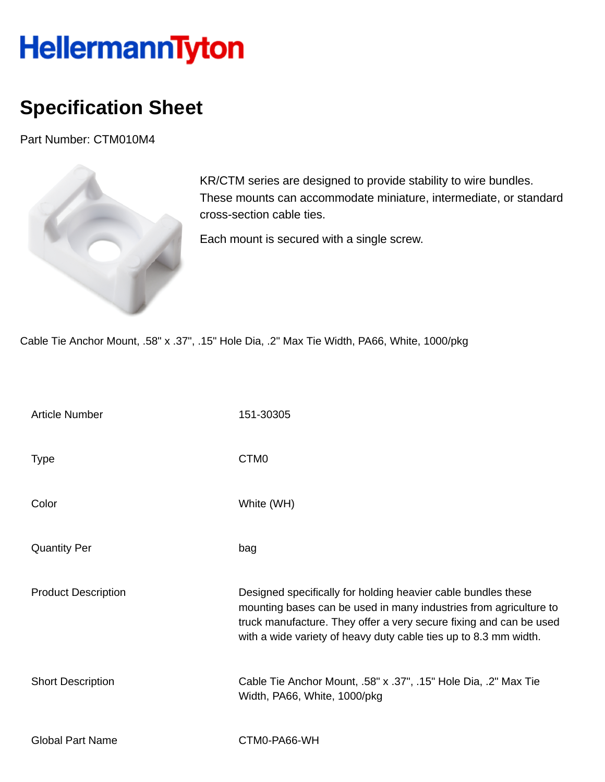## HellermannTyton

## **Specification Sheet**

Part Number: CTM010M4



KR/CTM series are designed to provide stability to wire bundles. These mounts can accommodate miniature, intermediate, or standard cross-section cable ties.

Each mount is secured with a single screw.

Cable Tie Anchor Mount, .58" x .37", .15" Hole Dia, .2" Max Tie Width, PA66, White, 1000/pkg

| <b>Article Number</b>      | 151-30305                                                                                                                                                                                                                                                                    |
|----------------------------|------------------------------------------------------------------------------------------------------------------------------------------------------------------------------------------------------------------------------------------------------------------------------|
| <b>Type</b>                | CTM <sub>0</sub>                                                                                                                                                                                                                                                             |
| Color                      | White (WH)                                                                                                                                                                                                                                                                   |
| <b>Quantity Per</b>        | bag                                                                                                                                                                                                                                                                          |
| <b>Product Description</b> | Designed specifically for holding heavier cable bundles these<br>mounting bases can be used in many industries from agriculture to<br>truck manufacture. They offer a very secure fixing and can be used<br>with a wide variety of heavy duty cable ties up to 8.3 mm width. |
| <b>Short Description</b>   | Cable Tie Anchor Mount, .58" x .37", .15" Hole Dia, .2" Max Tie<br>Width, PA66, White, 1000/pkg                                                                                                                                                                              |
| <b>Global Part Name</b>    | CTM0-PA66-WH                                                                                                                                                                                                                                                                 |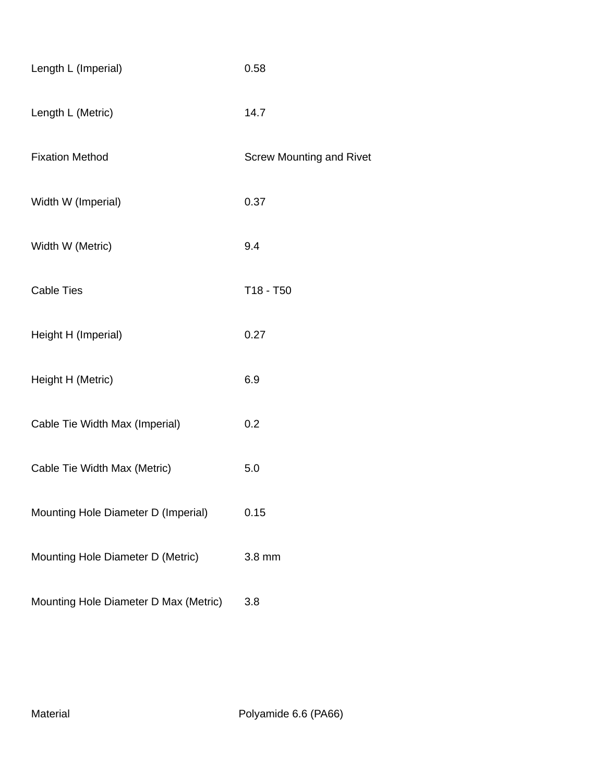| Length L (Imperial)                   | 0.58                            |
|---------------------------------------|---------------------------------|
| Length L (Metric)                     | 14.7                            |
| <b>Fixation Method</b>                | <b>Screw Mounting and Rivet</b> |
| Width W (Imperial)                    | 0.37                            |
| Width W (Metric)                      | 9.4                             |
| <b>Cable Ties</b>                     | T18 - T50                       |
| Height H (Imperial)                   | 0.27                            |
| Height H (Metric)                     | 6.9                             |
| Cable Tie Width Max (Imperial)        | 0.2                             |
| Cable Tie Width Max (Metric)          | 5.0                             |
| Mounting Hole Diameter D (Imperial)   | 0.15                            |
| Mounting Hole Diameter D (Metric)     | 3.8 mm                          |
| Mounting Hole Diameter D Max (Metric) | 3.8                             |